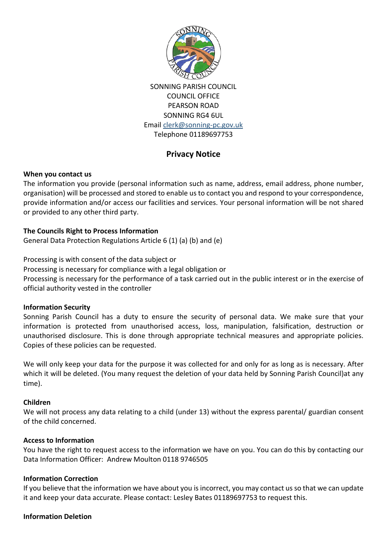

SONNING PARISH COUNCIL COUNCIL OFFICE PEARSON ROAD SONNING RG4 6UL Email [clerk@sonning-pc.gov.uk](mailto:clerk@sonning-pc.gov.uk) Telephone 01189697753

# **Privacy Notice**

## **When you contact us**

The information you provide (personal information such as name, address, email address, phone number, organisation) will be processed and stored to enable us to contact you and respond to your correspondence, provide information and/or access our facilities and services. Your personal information will be not shared or provided to any other third party.

## **The Councils Right to Process Information**

General Data Protection Regulations Article 6 (1) (a) (b) and (e)

Processing is with consent of the data subject or

Processing is necessary for compliance with a legal obligation or

Processing is necessary for the performance of a task carried out in the public interest or in the exercise of official authority vested in the controller

#### **Information Security**

Sonning Parish Council has a duty to ensure the security of personal data. We make sure that your information is protected from unauthorised access, loss, manipulation, falsification, destruction or unauthorised disclosure. This is done through appropriate technical measures and appropriate policies. Copies of these policies can be requested.

We will only keep your data for the purpose it was collected for and only for as long as is necessary. After which it will be deleted. (You many request the deletion of your data held by Sonning Parish Council)at any time).

#### **Children**

We will not process any data relating to a child (under 13) without the express parental/ guardian consent of the child concerned.

#### **Access to Information**

You have the right to request access to the information we have on you. You can do this by contacting our Data Information Officer: Andrew Moulton 0118 9746505

#### **Information Correction**

If you believe that the information we have about you is incorrect, you may contact us so that we can update it and keep your data accurate. Please contact: Lesley Bates 01189697753 to request this.

#### **Information Deletion**